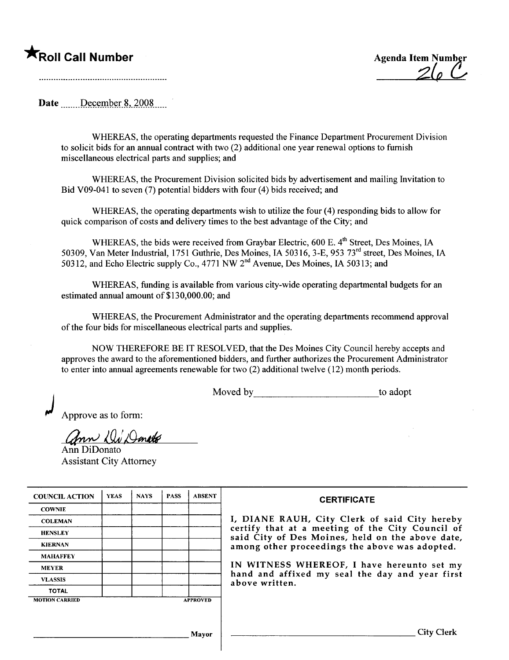## **TRoll Call Number** Agenda Item Numb

 $Z(\rho \left\vert \mathcal{L}\right\vert )$ 

Date December 8, 2008

WHEREAS, the operating departments requested the Finance Deparment Procurement Division to solicit bids for an annual contract with two (2) additional one year renewal options to furnish miscellaneous electrical parts and supplies; and

WHEREAS, the Procurement Division solicited bids by advertisement and mailing Invitation to Bid V09-041 to seven (7) potential bidders with four (4) bids received; and

WHEREAS, the operating departments wish to utilze the four (4) responding bids to allow for quick comparison of costs and delivery times to the best advantage of the City; and

WHEREAS, the bids were received from Graybar Electric, 600 E. 4<sup>th</sup> Street, Des Moines, IA 50309, Van Meter Industrial, i 751 Guthrie, Des Moines, IA 50316, 3-E, 953 73rd street, Des Moines, IA 50312, and Echo Electric supply Co., 4771 NW 2nd Avenue, Des Moines, IA 50313; and

WHEREAS, funding is available from various city-wide operating departmental budgets for an estimated annual amount of \$130,000.00; and

WHEREAS, the Procurement Administrator and the operating departments recommend approval of the four bids for miscellaneous electrical parts and supplies.

NOW THEREFORE BE IT RESOLVED, that the Des Moines City Council hereby accepts and approves the award to the aforementioned bidders, and further authorizes the Procurement Administrator to enter into annual agreements renewable for two (2) additional twelve (12) month periods.

Moved by to adopt

Approve as to form:

Ann *W Deneto* 

Assistant City Attorney

| <b>COUNCIL ACTION</b> | <b>YEAS</b> | <b>NAYS</b> | <b>PASS</b> | <b>ABSENT</b>   | <b>CERTIFICATE</b>                                                                                   |
|-----------------------|-------------|-------------|-------------|-----------------|------------------------------------------------------------------------------------------------------|
| <b>COWNIE</b>         |             |             |             |                 |                                                                                                      |
| <b>COLEMAN</b>        |             |             |             |                 | I, DIANE RAUH, City Clerk of said City hereby                                                        |
| <b>HENSLEY</b>        |             |             |             |                 | certify that at a meeting of the City Council of<br>said City of Des Moines, held on the above date, |
| <b>KIERNAN</b>        |             |             |             |                 | among other proceedings the above was adopted.                                                       |
| <b>MAHAFFEY</b>       |             |             |             |                 |                                                                                                      |
| <b>MEYER</b>          |             |             |             |                 | IN WITNESS WHEREOF, I have hereunto set my                                                           |
| <b>VLASSIS</b>        |             |             |             |                 | hand and affixed my seal the day and year first<br>above written.                                    |
| <b>TOTAL</b>          |             |             |             |                 |                                                                                                      |
| <b>MOTION CARRIED</b> |             |             |             | <b>APPROVED</b> |                                                                                                      |
|                       |             |             |             |                 |                                                                                                      |
|                       |             |             |             | <b>Mayor</b>    | <b>City Clerk</b>                                                                                    |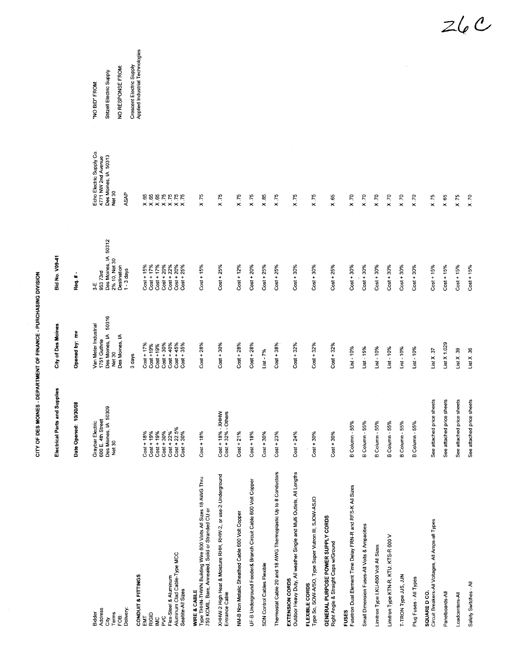|                                                                                                                                    | and Supplies<br>Electrical Parts                                             | City of Des Moines                                                                          | Bid No. V09-41                                                                             |                                                                                          |                                                                 |
|------------------------------------------------------------------------------------------------------------------------------------|------------------------------------------------------------------------------|---------------------------------------------------------------------------------------------|--------------------------------------------------------------------------------------------|------------------------------------------------------------------------------------------|-----------------------------------------------------------------|
|                                                                                                                                    | 10/30/08<br>Date Opened:                                                     | Opened by: mv                                                                               | Req.#                                                                                      | $\sim$                                                                                   |                                                                 |
| Address<br>Delivery:<br>Terms<br>Bidder<br>FOB:<br>ĜŊ                                                                              | 50309<br>600 E. 4th Street<br>Des Moines, IA 5<br>Graybar Electric<br>Net 30 | 50316<br>Van Meter Industrial<br>Des Moines, IA<br>Des Moines, IA<br>1751 Guthrie<br>Net 30 | Des Moines, IA 50312<br>2% 10, Net 30<br>Destination<br>$1 - 3$ days<br>95373rd<br>$3 - E$ | Echo Electric Supply Co.<br>Des Moines, IA 50313<br>4771 NW 2nd Avenue<br>Net 30<br>ASAP | NO RESPONSE FROM:<br>Stitzell Electric Supply<br>"NO BID" FROM: |
| CONDUIT & FITTINGS                                                                                                                 |                                                                              | 3 days                                                                                      |                                                                                            |                                                                                          | Applied Industrial Technologies<br>Crescent Electric Supply     |
| EMI                                                                                                                                |                                                                              |                                                                                             |                                                                                            |                                                                                          |                                                                 |
| RIGID                                                                                                                              | $Cost + 18\%$<br>$Cost + 19\%$                                               | $Cost + 17\%$<br>$Cost + 19\%$                                                              | $Cost + 15\%$<br>$Cost + 17\%$                                                             |                                                                                          |                                                                 |
| Š                                                                                                                                  | $Cost + 19%$                                                                 | $Cost + 19%$                                                                                | $Cost + 17%$                                                                               |                                                                                          |                                                                 |
| PVC                                                                                                                                | $Cost + 30%$                                                                 | $Cost + 30%$                                                                                | $Cost + 20%$                                                                               |                                                                                          |                                                                 |
| Flex-Steel & Aluminum                                                                                                              |                                                                              | $Cost + 40%$                                                                                | $Cost + 22%$                                                                               |                                                                                          |                                                                 |
| Aluminum Clad Cable-Type MCC<br>Seatite-All Sizes                                                                                  | $Cost + 22\%$<br>$Cost + 22.5\%$<br>$Cost + 30\%$                            | $Cost + 45%$<br>$Cost + 35%$                                                                | $Cost + 20%$<br>$Cost + 25%$                                                               |                                                                                          |                                                                 |
| WIRE & CABLE<br>Type THHN-THWN Building Wire 600 Volts All Sizes 18 AWG Thru<br>750 KCMIL, Bare, Annealed, Solid or Stranded CU or | $Cost + 18%$                                                                 | $Cost + 28%$                                                                                | $Cost + 15%$                                                                               | X.75                                                                                     |                                                                 |
| XHHW-2 High Heat & Moisture RHH, RHW-2, or use-2-Underground<br>Entrance Cable                                                     | Cost + 18% - XHHW<br>Cost + 32% - Others                                     | $Cost + 30%$                                                                                | $Cost + 25%$                                                                               | X.75                                                                                     |                                                                 |
| NM-B Non Metalic Sheathed Cable 600 Volt Copper                                                                                    | $Cost + 21%$                                                                 | $Cost + 28%$                                                                                | $Cost + 12%$                                                                               | X.75                                                                                     |                                                                 |
| UF-B Underground Feeder& Branch Circuit Cable 600 Volt Copper                                                                      | $Cost + 18%$                                                                 | $Cost + 28%$                                                                                | $Cost + 20%$                                                                               | X.75                                                                                     |                                                                 |
| <b>SDN Control Cables Flexible</b>                                                                                                 | $Cost + 30%$                                                                 | $List - 7%$                                                                                 | $Cost + 25%$                                                                               | $\times$ 85                                                                              |                                                                 |
| Thermostat Cable 20 and 18 AWG Thermoplastic Up to 8 Conductors                                                                    | $Cost + 23%$                                                                 | $Cost + 38%$                                                                                | $Cost + 25%$                                                                               | X.75                                                                                     |                                                                 |
| Outdoor Heavy Duty, All weather Single and Multi Outlets, All Lengths<br>EXTENSION CORDS                                           | $Cost + 24%$                                                                 | $Cost + 32%$                                                                                | $Cost + 30%$                                                                               | X.75                                                                                     |                                                                 |
| Type So, SOW-A/SO, Type Super Vutron III, SJOW-ASJO<br>FLEXIBLE CORDS                                                              | $Cost + 30%$                                                                 | $Cost + 32%$                                                                                | $Cost + 30%$                                                                               | X.75                                                                                     |                                                                 |
| GENERAL PURPOSE POWER SUPPLY CORDS<br>Right Angle & Straight Caps w/Ground                                                         | $Cost + 30%$                                                                 | $Cost + 32%$                                                                                | $Cost + 25%$                                                                               | X.65                                                                                     |                                                                 |
| Fusetron Dual Element Time Delay FRN-R and RFS-K All Sizes<br><b>FUSES</b>                                                         | B Column - 55%                                                               | $List - 10%$                                                                                | $Cost + 30\%$                                                                              | $x_{x}$                                                                                  |                                                                 |
| Small Dimension Fuses-All Volts & Ampacities                                                                                       | B Column - 55%                                                               | $List - 15%$                                                                                | $Cost + 30\%$                                                                              | X.70                                                                                     |                                                                 |
| Limitron Type LKU-600 Volt All Sizes                                                                                               | <b>B Column - 55%</b>                                                        | $List - 10%$                                                                                | $Cost + 30%$                                                                               | x.70                                                                                     |                                                                 |
| Limitron Type KTN-R, KTU, KTS-R 600 V                                                                                              | B Column - 55%                                                               | $List - 10%$                                                                                | $Cost + 30%$                                                                               | x.70                                                                                     |                                                                 |
| T-TRON Type JJS, JJN                                                                                                               | B Column - 55%                                                               | $List - 10%$                                                                                | $Cost + 30%$                                                                               | x.70                                                                                     |                                                                 |
| Plug Fuses - All Types                                                                                                             | B Column - 55%                                                               | $List - 10%$                                                                                | $Cost + 30%$                                                                               | x.70                                                                                     |                                                                 |
| Circuit Breakers-All Voltages, All Amps-all Types<br>SQUARE D CO.                                                                  | ce sheets<br>See attached pri                                                | List $X$ , 37                                                                               | $Cost + 15%$                                                                               | X.75                                                                                     |                                                                 |
| Panelboards-All                                                                                                                    | ce sheets<br>See attached pri                                                | List $X$ 1.029                                                                              | $Cost + 15%$                                                                               | X.65                                                                                     |                                                                 |
| _oadcenters-All                                                                                                                    | See attached price sheets                                                    | List X.39                                                                                   | $Cost + 15%$                                                                               | X.75                                                                                     |                                                                 |
| Safety Switches - All                                                                                                              | See attached price sheets                                                    | List $X$ , 36                                                                               | $Cost + 15%$                                                                               | $x \times$                                                                               |                                                                 |

CITY OF DES MOINES - DEPARTMENT OF FINANCE - PURCHASING DIVISION ZOE DES MOINES - DES MOINES - DEPARTMENT OF FINANCE - PURCHASING DIVISION  $Z$ le  $C$